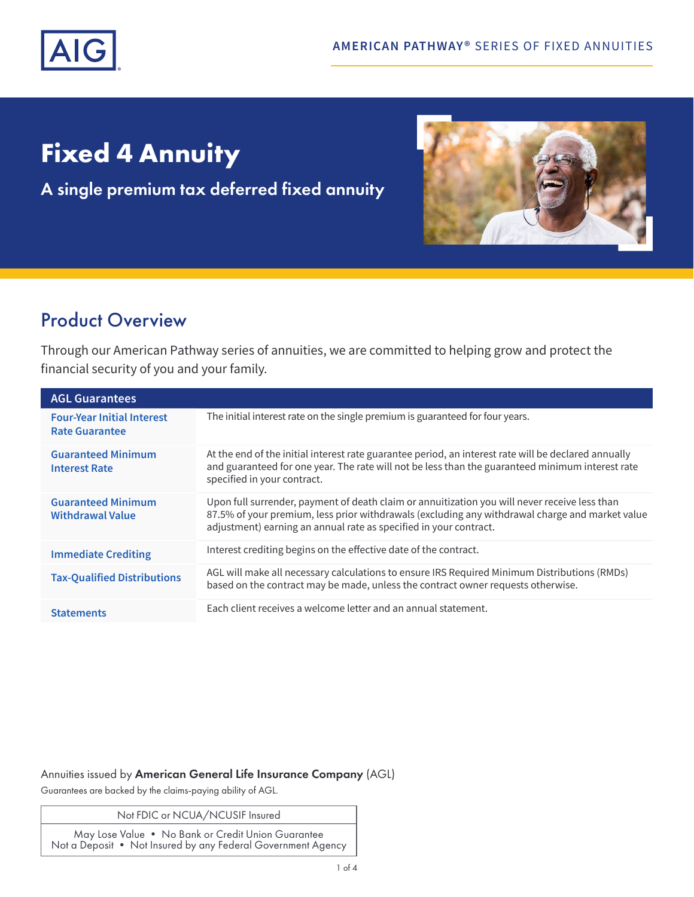

# **Fixed 4 Annuity**

A single premium tax deferred fixed annuity



## Product Overview

Through our American Pathway series of annuities, we are committed to helping grow and protect the financial security of you and your family.

| <b>AGL Guarantees</b>                                      |                                                                                                                                                                                                                                                                       |
|------------------------------------------------------------|-----------------------------------------------------------------------------------------------------------------------------------------------------------------------------------------------------------------------------------------------------------------------|
| <b>Four-Year Initial Interest</b><br><b>Rate Guarantee</b> | The initial interest rate on the single premium is guaranteed for four years.                                                                                                                                                                                         |
| <b>Guaranteed Minimum</b><br><b>Interest Rate</b>          | At the end of the initial interest rate guarantee period, an interest rate will be declared annually<br>and guaranteed for one year. The rate will not be less than the guaranteed minimum interest rate<br>specified in your contract.                               |
| <b>Guaranteed Minimum</b><br><b>Withdrawal Value</b>       | Upon full surrender, payment of death claim or annuitization you will never receive less than<br>87.5% of your premium, less prior withdrawals (excluding any withdrawal charge and market value<br>adjustment) earning an annual rate as specified in your contract. |
| <b>Immediate Crediting</b>                                 | Interest crediting begins on the effective date of the contract.                                                                                                                                                                                                      |
| <b>Tax-Qualified Distributions</b>                         | AGL will make all necessary calculations to ensure IRS Required Minimum Distributions (RMDs)<br>based on the contract may be made, unless the contract owner requests otherwise.                                                                                      |
| <b>Statements</b>                                          | Each client receives a welcome letter and an annual statement.                                                                                                                                                                                                        |

### Annuities issued by American General Life Insurance Company (AGL)

Guarantees are backed by the claims-paying ability of AGL.

Not FDIC or NCUA/NCUSIF Insured

May Lose Value • No Bank or Credit Union Guarantee Not a Deposit • Not Insured by any Federal Government Agency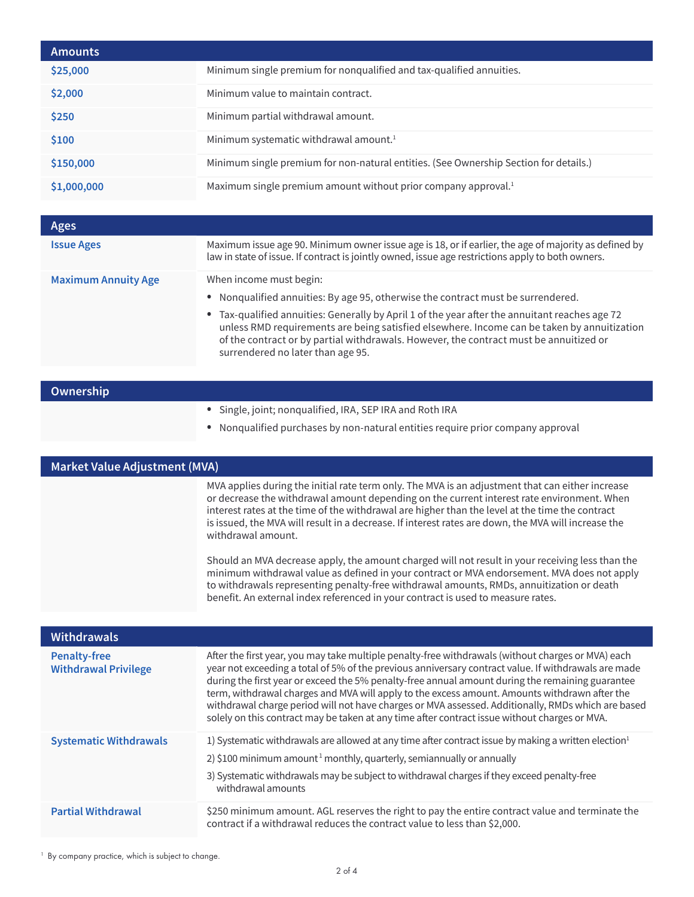| <b>Amounts</b> |                                                                                       |
|----------------|---------------------------------------------------------------------------------------|
| \$25,000       | Minimum single premium for nonqualified and tax-qualified annuities.                  |
| \$2,000        | Minimum value to maintain contract.                                                   |
| \$250          | Minimum partial withdrawal amount.                                                    |
| \$100          | Minimum systematic withdrawal amount. <sup>1</sup>                                    |
| \$150,000      | Minimum single premium for non-natural entities. (See Ownership Section for details.) |
| \$1,000,000    | Maximum single premium amount without prior company approval. <sup>1</sup>            |
|                |                                                                                       |

| Ages                       |                                                                                                                                                                                                                                                                                                                                                                                                                                             |
|----------------------------|---------------------------------------------------------------------------------------------------------------------------------------------------------------------------------------------------------------------------------------------------------------------------------------------------------------------------------------------------------------------------------------------------------------------------------------------|
| <b>Issue Ages</b>          | Maximum issue age 90. Minimum owner issue age is 18, or if earlier, the age of majority as defined by<br>law in state of issue. If contract is jointly owned, issue age restrictions apply to both owners.                                                                                                                                                                                                                                  |
| <b>Maximum Annuity Age</b> | When income must begin:<br>• Nonqualified annuities: By age 95, otherwise the contract must be surrendered.<br>• Tax-qualified annuities: Generally by April 1 of the year after the annuitant reaches age 72<br>unless RMD requirements are being satisfied elsewhere. Income can be taken by annuitization<br>of the contract or by partial withdrawals. However, the contract must be annuitized or<br>surrendered no later than age 95. |

| Ownership |                                                                                                                                           |
|-----------|-------------------------------------------------------------------------------------------------------------------------------------------|
|           | • Single, joint; nonqualified, IRA, SEP IRA and Roth IRA<br>Nongualified purchases by non-natural entities require prior company approval |

**Market Value Adjustment (MVA)** MVA applies during the initial rate term only. The MVA is an adjustment that can either increase or decrease the withdrawal amount depending on the current interest rate environment. When interest rates at the time of the withdrawal are higher than the level at the time the contract is issued, the MVA will result in a decrease. If interest rates are down, the MVA will increase the withdrawal amount.

> Should an MVA decrease apply, the amount charged will not result in your receiving less than the minimum withdrawal value as defined in your contract or MVA endorsement. MVA does not apply to withdrawals representing penalty-free withdrawal amounts, RMDs, annuitization or death benefit. An external index referenced in your contract is used to measure rates.

| <b>Withdrawals</b>                                 |                                                                                                                                                                                                                                                                                                                                                                                                                                                                                                                                                                                                                        |
|----------------------------------------------------|------------------------------------------------------------------------------------------------------------------------------------------------------------------------------------------------------------------------------------------------------------------------------------------------------------------------------------------------------------------------------------------------------------------------------------------------------------------------------------------------------------------------------------------------------------------------------------------------------------------------|
| <b>Penalty-free</b><br><b>Withdrawal Privilege</b> | After the first year, you may take multiple penalty-free withdrawals (without charges or MVA) each<br>year not exceeding a total of 5% of the previous anniversary contract value. If withdrawals are made<br>during the first year or exceed the 5% penalty-free annual amount during the remaining guarantee<br>term, withdrawal charges and MVA will apply to the excess amount. Amounts withdrawn after the<br>withdrawal charge period will not have charges or MVA assessed. Additionally, RMDs which are based<br>solely on this contract may be taken at any time after contract issue without charges or MVA. |
| <b>Systematic Withdrawals</b>                      | 1) Systematic withdrawals are allowed at any time after contract issue by making a written election <sup>1</sup><br>2) \$100 minimum amount <sup>1</sup> monthly, quarterly, semiannually or annually<br>3) Systematic withdrawals may be subject to withdrawal charges if they exceed penalty-free<br>withdrawal amounts                                                                                                                                                                                                                                                                                              |
| <b>Partial Withdrawal</b>                          | \$250 minimum amount. AGL reserves the right to pay the entire contract value and terminate the<br>contract if a withdrawal reduces the contract value to less than \$2,000.                                                                                                                                                                                                                                                                                                                                                                                                                                           |

<sup>1</sup> By company practice, which is subject to change.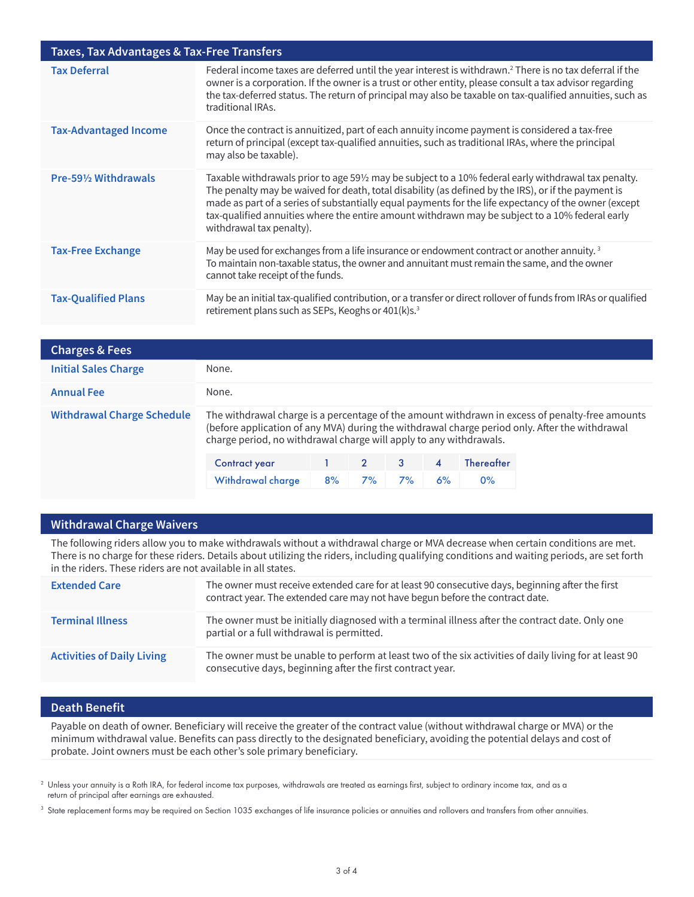| Taxes, Tax Advantages & Tax-Free Transfers |                                                                                                                                                                                                                                                                                                                                                                                                                                                   |  |  |  |
|--------------------------------------------|---------------------------------------------------------------------------------------------------------------------------------------------------------------------------------------------------------------------------------------------------------------------------------------------------------------------------------------------------------------------------------------------------------------------------------------------------|--|--|--|
| <b>Tax Deferral</b>                        | Federal income taxes are deferred until the year interest is withdrawn. <sup>2</sup> There is no tax deferral if the<br>owner is a corporation. If the owner is a trust or other entity, please consult a tax advisor regarding<br>the tax-deferred status. The return of principal may also be taxable on tax-qualified annuities, such as<br>traditional IRAs.                                                                                  |  |  |  |
| <b>Tax-Advantaged Income</b>               | Once the contract is annuitized, part of each annuity income payment is considered a tax-free<br>return of principal (except tax-qualified annuities, such as traditional IRAs, where the principal<br>may also be taxable).                                                                                                                                                                                                                      |  |  |  |
| Pre-591/2 Withdrawals                      | Taxable withdrawals prior to age 59½ may be subject to a 10% federal early withdrawal tax penalty.<br>The penalty may be waived for death, total disability (as defined by the IRS), or if the payment is<br>made as part of a series of substantially equal payments for the life expectancy of the owner (except<br>tax-qualified annuities where the entire amount withdrawn may be subject to a 10% federal early<br>withdrawal tax penalty). |  |  |  |
| <b>Tax-Free Exchange</b>                   | May be used for exchanges from a life insurance or endowment contract or another annuity. <sup>3</sup><br>To maintain non-taxable status, the owner and annuitant must remain the same, and the owner<br>cannot take receipt of the funds.                                                                                                                                                                                                        |  |  |  |
| <b>Tax-Qualified Plans</b>                 | May be an initial tax-qualified contribution, or a transfer or direct rollover of funds from IRAs or qualified<br>retirement plans such as SEPs, Keoghs or 401(k)s. <sup>3</sup>                                                                                                                                                                                                                                                                  |  |  |  |

| <b>Charges &amp; Fees</b>         |                                                                                                                                                                                                                                                                         |    |               |    |                         |                   |  |
|-----------------------------------|-------------------------------------------------------------------------------------------------------------------------------------------------------------------------------------------------------------------------------------------------------------------------|----|---------------|----|-------------------------|-------------------|--|
| <b>Initial Sales Charge</b>       | None.                                                                                                                                                                                                                                                                   |    |               |    |                         |                   |  |
| <b>Annual Fee</b>                 | None.                                                                                                                                                                                                                                                                   |    |               |    |                         |                   |  |
| <b>Withdrawal Charge Schedule</b> | The withdrawal charge is a percentage of the amount withdrawn in excess of penalty-free amounts<br>(before application of any MVA) during the withdrawal charge period only. After the withdrawal<br>charge period, no withdrawal charge will apply to any withdrawals. |    |               |    |                         |                   |  |
|                                   | <b>Contract year</b>                                                                                                                                                                                                                                                    |    | $\mathcal{P}$ | 3  | $\overline{\mathbf{4}}$ | <b>Thereafter</b> |  |
|                                   | Withdrawal charge                                                                                                                                                                                                                                                       | 8% | 7%            | 7% | 6%                      | $0\%$             |  |

#### **Withdrawal Charge Waivers**

The following riders allow you to make withdrawals without a withdrawal charge or MVA decrease when certain conditions are met. There is no charge for these riders. Details about utilizing the riders, including qualifying conditions and waiting periods, are set forth in the riders. These riders are not available in all states.

| <b>Extended Care</b>              | The owner must receive extended care for at least 90 consecutive days, beginning after the first<br>contract year. The extended care may not have begun before the contract date. |
|-----------------------------------|-----------------------------------------------------------------------------------------------------------------------------------------------------------------------------------|
| <b>Terminal Illness</b>           | The owner must be initially diagnosed with a terminal illness after the contract date. Only one<br>partial or a full withdrawal is permitted.                                     |
| <b>Activities of Daily Living</b> | The owner must be unable to perform at least two of the six activities of daily living for at least 90<br>consecutive days, beginning after the first contract year.              |

### **Death Benefit**

Payable on death of owner. Beneficiary will receive the greater of the contract value (without withdrawal charge or MVA) or the minimum withdrawal value. Benefits can pass directly to the designated beneficiary, avoiding the potential delays and cost of probate. Joint owners must be each other's sole primary beneficiary.

 $^2$  Unless your annuity is a Roth IRA, for federal income tax purposes, withdrawals are treated as earnings first, subject to ordinary income tax, and as a return of principal after earnings are exhausted.

<sup>3</sup> State replacement forms may be required on Section 1035 exchanges of life insurance policies or annuities and rollovers and transfers from other annuities.